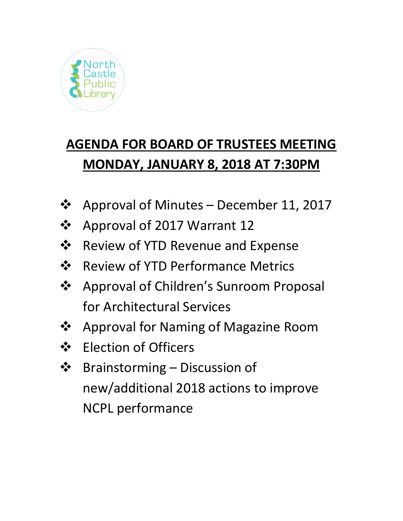

# **AGENDA FOR BOARD OF TRUSTEES MEETING MONDAY, JANUARY 8, 2018 AT 7:30PM**

- ❖ Approval of Minutes December 11, 2017
- ❖ Approval of 2017 Warrant 12
- ❖ Review of YTD Revenue and Expense
- ❖ Review of YTD Performance Metrics
- ❖ Approval of Children's Sunroom Proposal for Architectural Services
- ❖ Approval for Naming of Magazine Room
- ❖ Election of Officers
- ❖ Brainstorming Discussion of new/additional 2018 actions to improve NCPL performance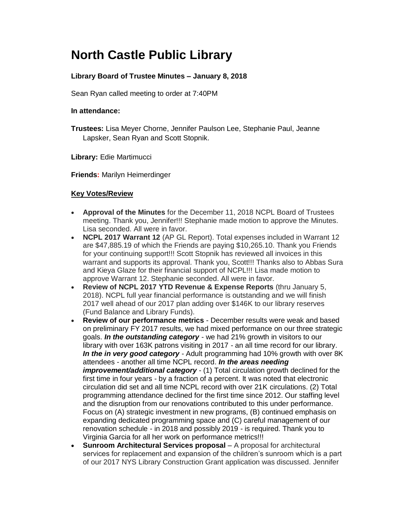## **North Castle Public Library**

### **Library Board of Trustee Minutes – January 8, 2018**

Sean Ryan called meeting to order at 7:40PM

#### **In attendance:**

**Trustees:** Lisa Meyer Chorne, Jennifer Paulson Lee, Stephanie Paul, Jeanne Lapsker, Sean Ryan and Scott Stopnik.

**Library:** Edie Martimucci

**Friends:** Marilyn Heimerdinger

#### **Key Votes/Review**

- **Approval of the Minutes** for the December 11, 2018 NCPL Board of Trustees meeting. Thank you, Jennifer!!! Stephanie made motion to approve the Minutes. Lisa seconded. All were in favor.
- **NCPL 2017 Warrant 12** (AP GL Report). Total expenses included in Warrant 12 are \$47,885.19 of which the Friends are paying \$10,265.10. Thank you Friends for your continuing support!!! Scott Stopnik has reviewed all invoices in this warrant and supports its approval. Thank you, Scott!!! Thanks also to Abbas Sura and Kieya Glaze for their financial support of NCPL!!! Lisa made motion to approve Warrant 12. Stephanie seconded. All were in favor.
- **Review of NCPL 2017 YTD Revenue & Expense Reports** (thru January 5, 2018). NCPL full year financial performance is outstanding and we will finish 2017 well ahead of our 2017 plan adding over \$146K to our library reserves (Fund Balance and Library Funds).
- **Review of our performance metrics** December results were weak and based on preliminary FY 2017 results, we had mixed performance on our three strategic goals. *In the outstanding category* - we had 21% growth in visitors to our library with over 163K patrons visiting in 2017 - an all time record for our library. *In the in very good category* - Adult programming had 10% growth with over 8K attendees - another all time NCPL record. *In the areas needing improvement/additional category* - (1) Total circulation growth declined for the first time in four years - by a fraction of a percent. It was noted that electronic circulation did set and all time NCPL record with over 21K circulations. (2) Total programming attendance declined for the first time since 2012. Our staffing level and the disruption from our renovations contributed to this under performance. Focus on (A) strategic investment in new programs, (B) continued emphasis on expanding dedicated programming space and (C) careful management of our renovation schedule - in 2018 and possibly 2019 - is required. Thank you to Virginia Garcia for all her work on performance metrics!!!
- **Sunroom Architectural Services proposal** A proposal for architectural services for replacement and expansion of the children's sunroom which is a part of our 2017 NYS Library Construction Grant application was discussed. Jennifer